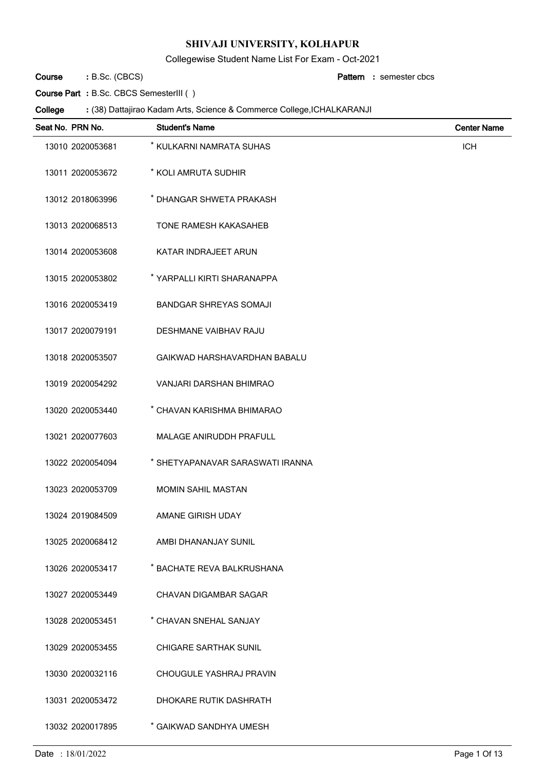Collegewise Student Name List For Exam - Oct-2021

B.Sc. (CBCS) **: Pattern Course**

semester cbcs **:**

**Course Part :** B.Sc. CBCS SemesterIII ( )

| Seat No. PRN No. | <b>Student's Name</b>            | <b>Center Name</b> |
|------------------|----------------------------------|--------------------|
| 13010 2020053681 | * KULKARNI NAMRATA SUHAS         | <b>ICH</b>         |
| 13011 2020053672 | * KOLI AMRUTA SUDHIR             |                    |
| 13012 2018063996 | * DHANGAR SHWETA PRAKASH         |                    |
| 13013 2020068513 | <b>TONE RAMESH KAKASAHEB</b>     |                    |
| 13014 2020053608 | KATAR INDRAJEET ARUN             |                    |
| 13015 2020053802 | * YARPALLI KIRTI SHARANAPPA      |                    |
| 13016 2020053419 | <b>BANDGAR SHREYAS SOMAJI</b>    |                    |
| 13017 2020079191 | <b>DESHMANE VAIBHAV RAJU</b>     |                    |
| 13018 2020053507 | GAIKWAD HARSHAVARDHAN BABALU     |                    |
| 13019 2020054292 | VANJARI DARSHAN BHIMRAO          |                    |
| 13020 2020053440 | * CHAVAN KARISHMA BHIMARAO       |                    |
| 13021 2020077603 | MALAGE ANIRUDDH PRAFULL          |                    |
| 13022 2020054094 | * SHETYAPANAVAR SARASWATI IRANNA |                    |
| 13023 2020053709 | <b>MOMIN SAHIL MASTAN</b>        |                    |
| 13024 2019084509 | AMANE GIRISH UDAY                |                    |
| 13025 2020068412 | AMBI DHANANJAY SUNIL             |                    |
| 13026 2020053417 | * BACHATE REVA BALKRUSHANA       |                    |
| 13027 2020053449 | <b>CHAVAN DIGAMBAR SAGAR</b>     |                    |
| 13028 2020053451 | * CHAVAN SNEHAL SANJAY           |                    |
| 13029 2020053455 | <b>CHIGARE SARTHAK SUNIL</b>     |                    |
| 13030 2020032116 | CHOUGULE YASHRAJ PRAVIN          |                    |
| 13031 2020053472 | DHOKARE RUTIK DASHRATH           |                    |
| 13032 2020017895 | * GAIKWAD SANDHYA UMESH          |                    |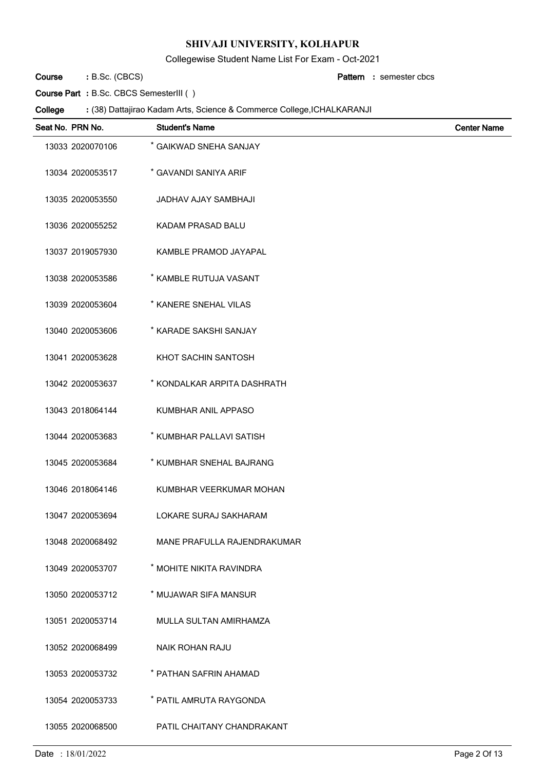Collegewise Student Name List For Exam - Oct-2021

B.Sc. (CBCS) **: Pattern Course**

semester cbcs **:**

**Course Part :** B.Sc. CBCS SemesterIII ( )

| Seat No. PRN No. | <b>Student's Name</b>        | <b>Center Name</b> |
|------------------|------------------------------|--------------------|
| 13033 2020070106 | * GAIKWAD SNEHA SANJAY       |                    |
| 13034 2020053517 | * GAVANDI SANIYA ARIF        |                    |
| 13035 2020053550 | JADHAV AJAY SAMBHAJI         |                    |
| 13036 2020055252 | KADAM PRASAD BALU            |                    |
| 13037 2019057930 | KAMBLE PRAMOD JAYAPAL        |                    |
| 13038 2020053586 | * KAMBLE RUTUJA VASANT       |                    |
| 13039 2020053604 | * KANERE SNEHAL VILAS        |                    |
| 13040 2020053606 | * KARADE SAKSHI SANJAY       |                    |
| 13041 2020053628 | KHOT SACHIN SANTOSH          |                    |
| 13042 2020053637 | * KONDALKAR ARPITA DASHRATH  |                    |
| 13043 2018064144 | KUMBHAR ANIL APPASO          |                    |
| 13044 2020053683 | * KUMBHAR PALLAVI SATISH     |                    |
| 13045 2020053684 | * KUMBHAR SNEHAL BAJRANG     |                    |
| 13046 2018064146 | KUMBHAR VEERKUMAR MOHAN      |                    |
| 13047 2020053694 | <b>LOKARE SURAJ SAKHARAM</b> |                    |
| 13048 2020068492 | MANE PRAFULLA RAJENDRAKUMAR  |                    |
| 13049 2020053707 | * MOHITE NIKITA RAVINDRA     |                    |
| 13050 2020053712 | * MUJAWAR SIFA MANSUR        |                    |
| 13051 2020053714 | MULLA SULTAN AMIRHAMZA       |                    |
| 13052 2020068499 | <b>NAIK ROHAN RAJU</b>       |                    |
| 13053 2020053732 | * PATHAN SAFRIN AHAMAD       |                    |
| 13054 2020053733 | * PATIL AMRUTA RAYGONDA      |                    |
| 13055 2020068500 | PATIL CHAITANY CHANDRAKANT   |                    |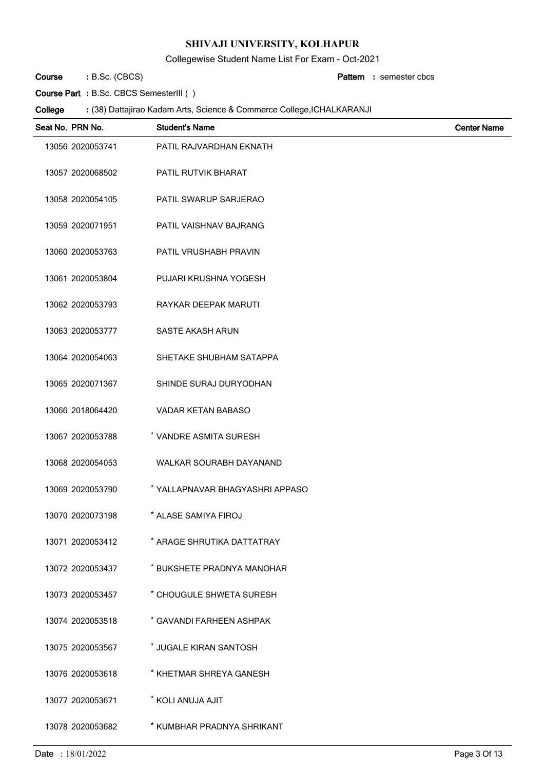Collegewise Student Name List For Exam - Oct-2021

B.Sc. (CBCS) **: Pattern Course**

semester cbcs **:**

**Course Part :** B.Sc. CBCS SemesterIII ( )

| Seat No. PRN No. |                  | <b>Student's Name</b>           | <b>Center Name</b> |
|------------------|------------------|---------------------------------|--------------------|
|                  | 13056 2020053741 | PATIL RAJVARDHAN EKNATH         |                    |
|                  | 13057 2020068502 | PATIL RUTVIK BHARAT             |                    |
|                  | 13058 2020054105 | PATIL SWARUP SARJERAO           |                    |
|                  | 13059 2020071951 | PATIL VAISHNAV BAJRANG          |                    |
|                  | 13060 2020053763 | PATIL VRUSHABH PRAVIN           |                    |
|                  | 13061 2020053804 | PUJARI KRUSHNA YOGESH           |                    |
|                  | 13062 2020053793 | RAYKAR DEEPAK MARUTI            |                    |
|                  | 13063 2020053777 | SASTE AKASH ARUN                |                    |
|                  | 13064 2020054063 | SHETAKE SHUBHAM SATAPPA         |                    |
|                  | 13065 2020071367 | SHINDE SURAJ DURYODHAN          |                    |
|                  | 13066 2018064420 | VADAR KETAN BABASO              |                    |
|                  | 13067 2020053788 | * VANDRE ASMITA SURESH          |                    |
|                  | 13068 2020054053 | WALKAR SOURABH DAYANAND         |                    |
|                  | 13069 2020053790 | * YALLAPNAVAR BHAGYASHRI APPASO |                    |
|                  | 13070 2020073198 | * ALASE SAMIYA FIROJ            |                    |
|                  | 13071 2020053412 | * ARAGE SHRUTIKA DATTATRAY      |                    |
|                  | 13072 2020053437 | * BUKSHETE PRADNYA MANOHAR      |                    |
|                  | 13073 2020053457 | * CHOUGULE SHWETA SURESH        |                    |
|                  | 13074 2020053518 | * GAVANDI FARHEEN ASHPAK        |                    |
|                  | 13075 2020053567 | * JUGALE KIRAN SANTOSH          |                    |
|                  | 13076 2020053618 | * KHETMAR SHREYA GANESH         |                    |
|                  | 13077 2020053671 | * KOLI ANUJA AJIT               |                    |
|                  | 13078 2020053682 | * KUMBHAR PRADNYA SHRIKANT      |                    |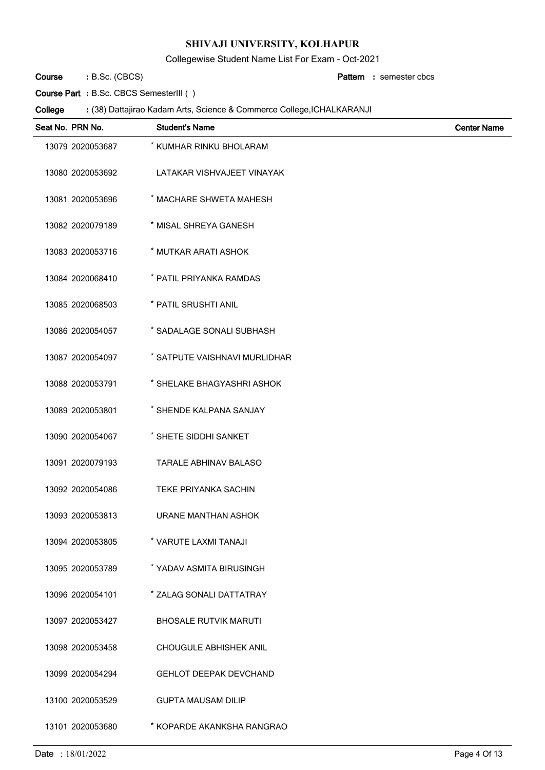Collegewise Student Name List For Exam - Oct-2021

B.Sc. (CBCS) **: Pattern Course**

semester cbcs **:**

**Course Part :** B.Sc. CBCS SemesterIII ( )

| Seat No. PRN No. | <b>Student's Name</b>         | <b>Center Name</b> |
|------------------|-------------------------------|--------------------|
| 13079 2020053687 | * KUMHAR RINKU BHOLARAM       |                    |
| 13080 2020053692 | LATAKAR VISHVAJEET VINAYAK    |                    |
| 13081 2020053696 | * MACHARE SHWETA MAHESH       |                    |
| 13082 2020079189 | * MISAL SHREYA GANESH         |                    |
| 13083 2020053716 | * MUTKAR ARATI ASHOK          |                    |
| 13084 2020068410 | * PATIL PRIYANKA RAMDAS       |                    |
| 13085 2020068503 | * PATIL SRUSHTI ANIL          |                    |
| 13086 2020054057 | * SADALAGE SONALI SUBHASH     |                    |
| 13087 2020054097 | * SATPUTE VAISHNAVI MURLIDHAR |                    |
| 13088 2020053791 | * SHELAKE BHAGYASHRI ASHOK    |                    |
| 13089 2020053801 | * SHENDE KALPANA SANJAY       |                    |
| 13090 2020054067 | * SHETE SIDDHI SANKET         |                    |
| 13091 2020079193 | <b>TARALE ABHINAV BALASO</b>  |                    |
| 13092 2020054086 | <b>TEKE PRIYANKA SACHIN</b>   |                    |
| 13093 2020053813 | <b>URANE MANTHAN ASHOK</b>    |                    |
| 13094 2020053805 | * VARUTE LAXMI TANAJI         |                    |
| 13095 2020053789 | * YADAV ASMITA BIRUSINGH      |                    |
| 13096 2020054101 | * ZALAG SONALI DATTATRAY      |                    |
| 13097 2020053427 | <b>BHOSALE RUTVIK MARUTI</b>  |                    |
| 13098 2020053458 | <b>CHOUGULE ABHISHEK ANIL</b> |                    |
| 13099 2020054294 | <b>GEHLOT DEEPAK DEVCHAND</b> |                    |
| 13100 2020053529 | <b>GUPTA MAUSAM DILIP</b>     |                    |
| 13101 2020053680 | * KOPARDE AKANKSHA RANGRAO    |                    |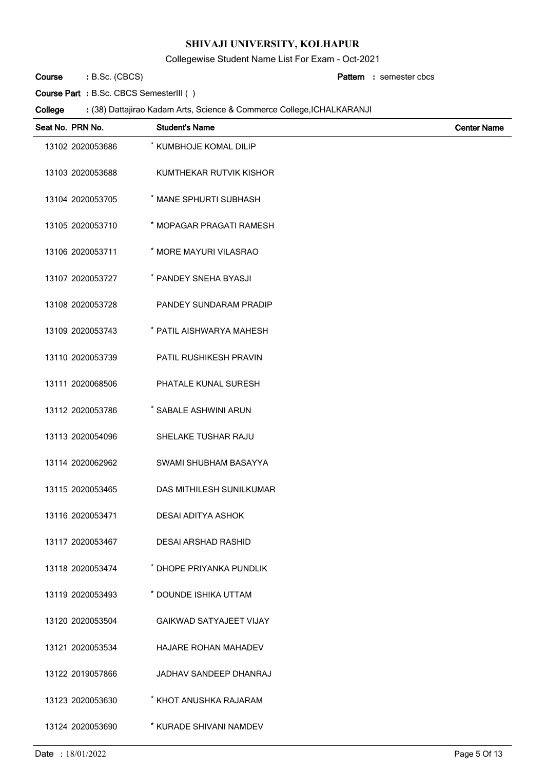Collegewise Student Name List For Exam - Oct-2021

B.Sc. (CBCS) **: Pattern Course**

semester cbcs **:**

**Course Part :** B.Sc. CBCS SemesterIII ( )

| Seat No. PRN No. | <b>Student's Name</b>          | <b>Center Name</b> |
|------------------|--------------------------------|--------------------|
| 13102 2020053686 | * KUMBHOJE KOMAL DILIP         |                    |
| 13103 2020053688 | KUMTHEKAR RUTVIK KISHOR        |                    |
| 13104 2020053705 | * MANE SPHURTI SUBHASH         |                    |
| 13105 2020053710 | * MOPAGAR PRAGATI RAMESH       |                    |
| 13106 2020053711 | * MORE MAYURI VILASRAO         |                    |
| 13107 2020053727 | * PANDEY SNEHA BYASJI          |                    |
| 13108 2020053728 | PANDEY SUNDARAM PRADIP         |                    |
| 13109 2020053743 | * PATIL AISHWARYA MAHESH       |                    |
| 13110 2020053739 | <b>PATIL RUSHIKESH PRAVIN</b>  |                    |
| 13111 2020068506 | PHATALE KUNAL SURESH           |                    |
| 13112 2020053786 | * SABALE ASHWINI ARUN          |                    |
| 13113 2020054096 | SHELAKE TUSHAR RAJU            |                    |
| 13114 2020062962 | SWAMI SHUBHAM BASAYYA          |                    |
| 13115 2020053465 | DAS MITHILESH SUNILKUMAR       |                    |
| 13116 2020053471 | <b>DESAI ADITYA ASHOK</b>      |                    |
| 13117 2020053467 | <b>DESAI ARSHAD RASHID</b>     |                    |
| 13118 2020053474 | * DHOPE PRIYANKA PUNDLIK       |                    |
| 13119 2020053493 | * DOUNDE ISHIKA UTTAM          |                    |
| 13120 2020053504 | <b>GAIKWAD SATYAJEET VIJAY</b> |                    |
| 13121 2020053534 | HAJARE ROHAN MAHADEV           |                    |
| 13122 2019057866 | JADHAV SANDEEP DHANRAJ         |                    |
| 13123 2020053630 | * KHOT ANUSHKA RAJARAM         |                    |
| 13124 2020053690 | * KURADE SHIVANI NAMDEV        |                    |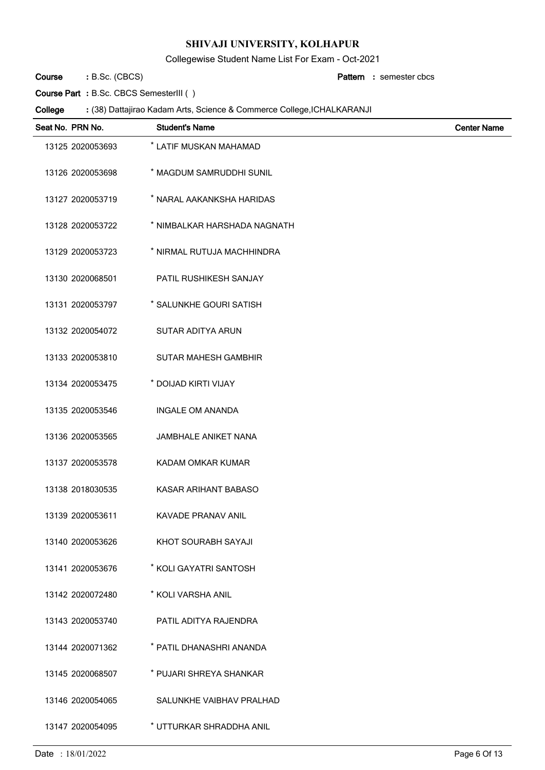Collegewise Student Name List For Exam - Oct-2021

B.Sc. (CBCS) **: Pattern Course**

semester cbcs **:**

**Course Part :** B.Sc. CBCS SemesterIII ( )

| Seat No. PRN No. | <b>Student's Name</b>        | <b>Center Name</b> |
|------------------|------------------------------|--------------------|
| 13125 2020053693 | * LATIF MUSKAN MAHAMAD       |                    |
| 13126 2020053698 | * MAGDUM SAMRUDDHI SUNIL     |                    |
| 13127 2020053719 | * NARAL AAKANKSHA HARIDAS    |                    |
| 13128 2020053722 | * NIMBALKAR HARSHADA NAGNATH |                    |
| 13129 2020053723 | * NIRMAL RUTUJA MACHHINDRA   |                    |
| 13130 2020068501 | PATIL RUSHIKESH SANJAY       |                    |
| 13131 2020053797 | * SALUNKHE GOURI SATISH      |                    |
| 13132 2020054072 | SUTAR ADITYA ARUN            |                    |
| 13133 2020053810 | <b>SUTAR MAHESH GAMBHIR</b>  |                    |
| 13134 2020053475 | * DOIJAD KIRTI VIJAY         |                    |
| 13135 2020053546 | <b>INGALE OM ANANDA</b>      |                    |
| 13136 2020053565 | <b>JAMBHALE ANIKET NANA</b>  |                    |
| 13137 2020053578 | KADAM OMKAR KUMAR            |                    |
| 13138 2018030535 | KASAR ARIHANT BABASO         |                    |
| 13139 2020053611 | KAVADE PRANAV ANIL           |                    |
| 13140 2020053626 | KHOT SOURABH SAYAJI          |                    |
| 13141 2020053676 | * KOLI GAYATRI SANTOSH       |                    |
| 13142 2020072480 | * KOLI VARSHA ANIL           |                    |
| 13143 2020053740 | PATIL ADITYA RAJENDRA        |                    |
| 13144 2020071362 | * PATIL DHANASHRI ANANDA     |                    |
| 13145 2020068507 | * PUJARI SHREYA SHANKAR      |                    |
| 13146 2020054065 | SALUNKHE VAIBHAV PRALHAD     |                    |
| 13147 2020054095 | * UTTURKAR SHRADDHA ANIL     |                    |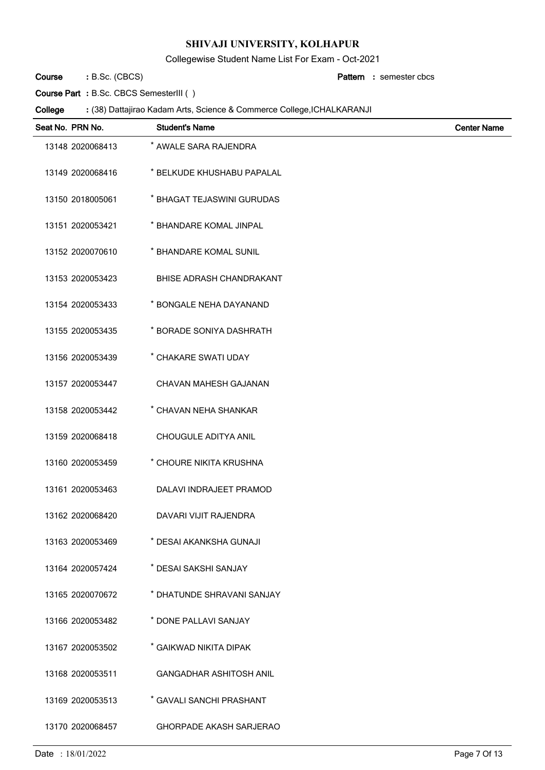Collegewise Student Name List For Exam - Oct-2021

B.Sc. (CBCS) **: Pattern Course**

semester cbcs **:**

**Course Part :** B.Sc. CBCS SemesterIII ( )

| Seat No. PRN No. | <b>Student's Name</b>          | <b>Center Name</b> |
|------------------|--------------------------------|--------------------|
| 13148 2020068413 | * AWALE SARA RAJENDRA          |                    |
| 13149 2020068416 | * BELKUDE KHUSHABU PAPALAL     |                    |
| 13150 2018005061 | * BHAGAT TEJASWINI GURUDAS     |                    |
| 13151 2020053421 | * BHANDARE KOMAL JINPAL        |                    |
| 13152 2020070610 | * BHANDARE KOMAL SUNIL         |                    |
| 13153 2020053423 | BHISE ADRASH CHANDRAKANT       |                    |
| 13154 2020053433 | * BONGALE NEHA DAYANAND        |                    |
| 13155 2020053435 | * BORADE SONIYA DASHRATH       |                    |
| 13156 2020053439 | * CHAKARE SWATI UDAY           |                    |
| 13157 2020053447 | CHAVAN MAHESH GAJANAN          |                    |
| 13158 2020053442 | * CHAVAN NEHA SHANKAR          |                    |
| 13159 2020068418 | CHOUGULE ADITYA ANIL           |                    |
| 13160 2020053459 | * CHOURE NIKITA KRUSHNA        |                    |
| 13161 2020053463 | DALAVI INDRAJEET PRAMOD        |                    |
| 13162 2020068420 | DAVARI VIJIT RAJENDRA          |                    |
| 13163 2020053469 | * DESAI AKANKSHA GUNAJI        |                    |
| 13164 2020057424 | * DESAI SAKSHI SANJAY          |                    |
| 13165 2020070672 | * DHATUNDE SHRAVANI SANJAY     |                    |
| 13166 2020053482 | * DONE PALLAVI SANJAY          |                    |
| 13167 2020053502 | * GAIKWAD NIKITA DIPAK         |                    |
| 13168 2020053511 | <b>GANGADHAR ASHITOSH ANIL</b> |                    |
| 13169 2020053513 | * GAVALI SANCHI PRASHANT       |                    |
| 13170 2020068457 | <b>GHORPADE AKASH SARJERAO</b> |                    |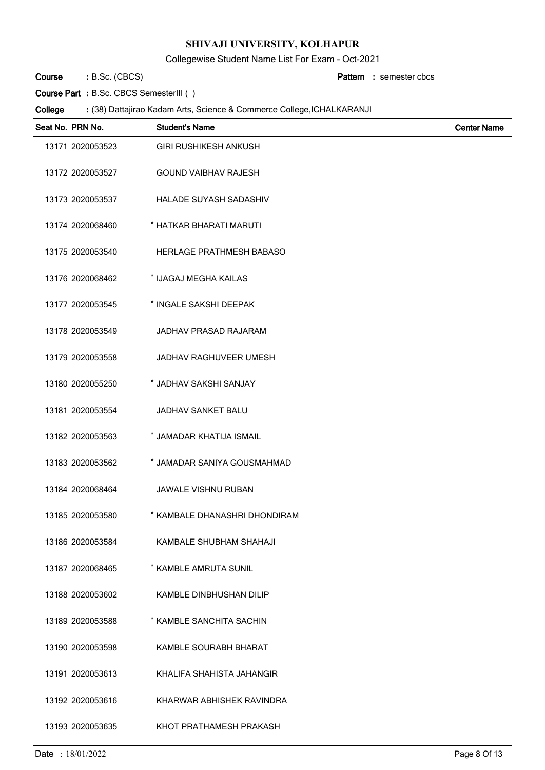Collegewise Student Name List For Exam - Oct-2021

B.Sc. (CBCS) **: Pattern Course**

semester cbcs **:**

**Course Part :** B.Sc. CBCS SemesterIII ( )

| Seat No. PRN No. | <b>Student's Name</b>           | <b>Center Name</b> |
|------------------|---------------------------------|--------------------|
| 13171 2020053523 | <b>GIRI RUSHIKESH ANKUSH</b>    |                    |
| 13172 2020053527 | <b>GOUND VAIBHAV RAJESH</b>     |                    |
| 13173 2020053537 | HALADE SUYASH SADASHIV          |                    |
| 13174 2020068460 | * HATKAR BHARATI MARUTI         |                    |
| 13175 2020053540 | <b>HERLAGE PRATHMESH BABASO</b> |                    |
| 13176 2020068462 | * IJAGAJ MEGHA KAILAS           |                    |
| 13177 2020053545 | * INGALE SAKSHI DEEPAK          |                    |
| 13178 2020053549 | JADHAV PRASAD RAJARAM           |                    |
| 13179 2020053558 | <b>JADHAV RAGHUVEER UMESH</b>   |                    |
| 13180 2020055250 | * JADHAV SAKSHI SANJAY          |                    |
| 13181 2020053554 | JADHAV SANKET BALU              |                    |
| 13182 2020053563 | * JAMADAR KHATIJA ISMAIL        |                    |
| 13183 2020053562 | * JAMADAR SANIYA GOUSMAHMAD     |                    |
| 13184 2020068464 | <b>JAWALE VISHNU RUBAN</b>      |                    |
| 13185 2020053580 | * KAMBALE DHANASHRI DHONDIRAM   |                    |
| 13186 2020053584 | KAMBALE SHUBHAM SHAHAJI         |                    |
| 13187 2020068465 | * KAMBLE AMRUTA SUNIL           |                    |
| 13188 2020053602 | KAMBLE DINBHUSHAN DILIP         |                    |
| 13189 2020053588 | * KAMBLE SANCHITA SACHIN        |                    |
| 13190 2020053598 | KAMBLE SOURABH BHARAT           |                    |
| 13191 2020053613 | KHALIFA SHAHISTA JAHANGIR       |                    |
| 13192 2020053616 | KHARWAR ABHISHEK RAVINDRA       |                    |
| 13193 2020053635 | KHOT PRATHAMESH PRAKASH         |                    |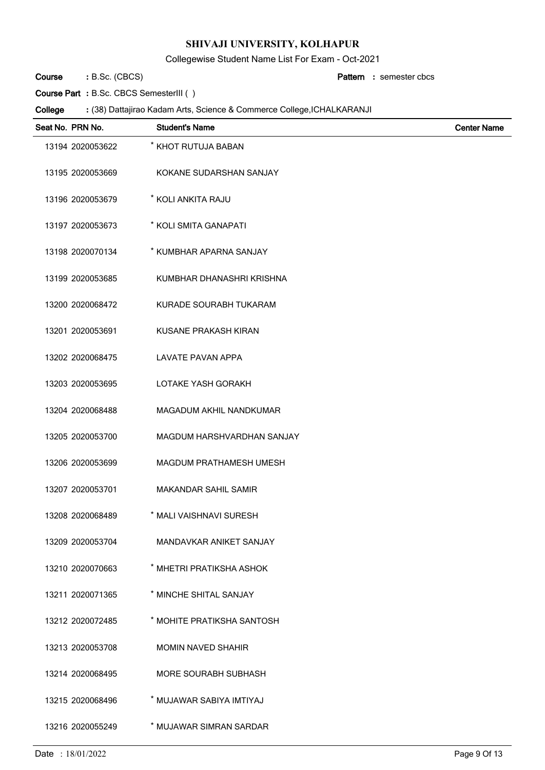Collegewise Student Name List For Exam - Oct-2021

B.Sc. (CBCS) **: Pattern Course**

semester cbcs **:**

**Course Part :** B.Sc. CBCS SemesterIII ( )

| Seat No. PRN No. | <b>Student's Name</b>          | <b>Center Name</b> |
|------------------|--------------------------------|--------------------|
| 13194 2020053622 | * KHOT RUTUJA BABAN            |                    |
| 13195 2020053669 | KOKANE SUDARSHAN SANJAY        |                    |
| 13196 2020053679 | * KOLI ANKITA RAJU             |                    |
| 13197 2020053673 | * KOLI SMITA GANAPATI          |                    |
| 13198 2020070134 | * KUMBHAR APARNA SANJAY        |                    |
| 13199 2020053685 | KUMBHAR DHANASHRI KRISHNA      |                    |
| 13200 2020068472 | KURADE SOURABH TUKARAM         |                    |
| 13201 2020053691 | KUSANE PRAKASH KIRAN           |                    |
| 13202 2020068475 | <b>LAVATE PAVAN APPA</b>       |                    |
| 13203 2020053695 | LOTAKE YASH GORAKH             |                    |
| 13204 2020068488 | MAGADUM AKHIL NANDKUMAR        |                    |
| 13205 2020053700 | MAGDUM HARSHVARDHAN SANJAY     |                    |
| 13206 2020053699 | MAGDUM PRATHAMESH UMESH        |                    |
| 13207 2020053701 | MAKANDAR SAHIL SAMIR           |                    |
| 13208 2020068489 | * MALI VAISHNAVI SURESH        |                    |
| 13209 2020053704 | <b>MANDAVKAR ANIKET SANJAY</b> |                    |
| 13210 2020070663 | * MHETRI PRATIKSHA ASHOK       |                    |
| 13211 2020071365 | * MINCHE SHITAL SANJAY         |                    |
| 13212 2020072485 | * MOHITE PRATIKSHA SANTOSH     |                    |
| 13213 2020053708 | <b>MOMIN NAVED SHAHIR</b>      |                    |
| 13214 2020068495 | <b>MORE SOURABH SUBHASH</b>    |                    |
| 13215 2020068496 | * MUJAWAR SABIYA IMTIYAJ       |                    |
| 13216 2020055249 | * MUJAWAR SIMRAN SARDAR        |                    |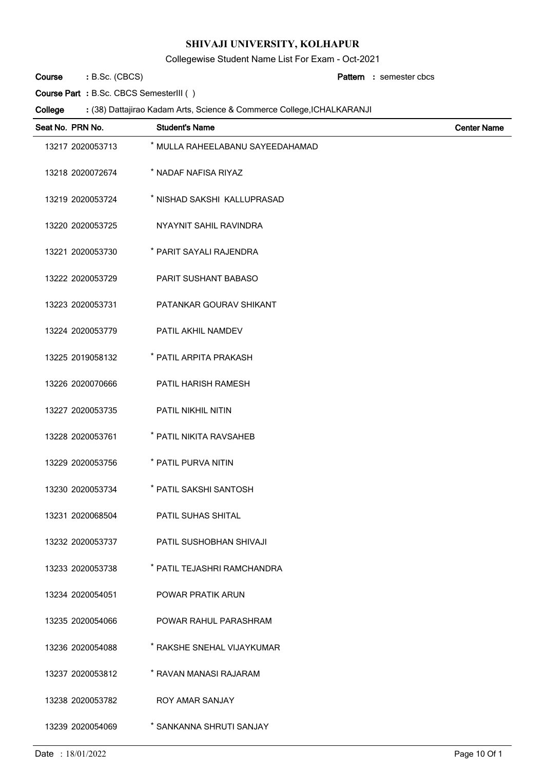Collegewise Student Name List For Exam - Oct-2021

B.Sc. (CBCS) **: Pattern Course**

semester cbcs **:**

**Course Part :** B.Sc. CBCS SemesterIII ( )

| Seat No. PRN No. | <b>Student's Name</b>            | <b>Center Name</b> |
|------------------|----------------------------------|--------------------|
| 13217 2020053713 | * MULLA RAHEELABANU SAYEEDAHAMAD |                    |
| 13218 2020072674 | * NADAF NAFISA RIYAZ             |                    |
| 13219 2020053724 | * NISHAD SAKSHI KALLUPRASAD      |                    |
| 13220 2020053725 | NYAYNIT SAHIL RAVINDRA           |                    |
| 13221 2020053730 | * PARIT SAYALI RAJENDRA          |                    |
| 13222 2020053729 | <b>PARIT SUSHANT BABASO</b>      |                    |
| 13223 2020053731 | PATANKAR GOURAV SHIKANT          |                    |
| 13224 2020053779 | PATIL AKHIL NAMDEV               |                    |
| 13225 2019058132 | * PATIL ARPITA PRAKASH           |                    |
| 13226 2020070666 | <b>PATIL HARISH RAMESH</b>       |                    |
| 13227 2020053735 | PATIL NIKHIL NITIN               |                    |
| 13228 2020053761 | * PATIL NIKITA RAVSAHEB          |                    |
| 13229 2020053756 | * PATIL PURVA NITIN              |                    |
| 13230 2020053734 | * PATIL SAKSHI SANTOSH           |                    |
| 13231 2020068504 | PATIL SUHAS SHITAL               |                    |
| 13232 2020053737 | PATIL SUSHOBHAN SHIVAJI          |                    |
| 13233 2020053738 | * PATIL TEJASHRI RAMCHANDRA      |                    |
| 13234 2020054051 | POWAR PRATIK ARUN                |                    |
| 13235 2020054066 | POWAR RAHUL PARASHRAM            |                    |
| 13236 2020054088 | * RAKSHE SNEHAL VIJAYKUMAR       |                    |
| 13237 2020053812 | * RAVAN MANASI RAJARAM           |                    |
| 13238 2020053782 | ROY AMAR SANJAY                  |                    |
| 13239 2020054069 | * SANKANNA SHRUTI SANJAY         |                    |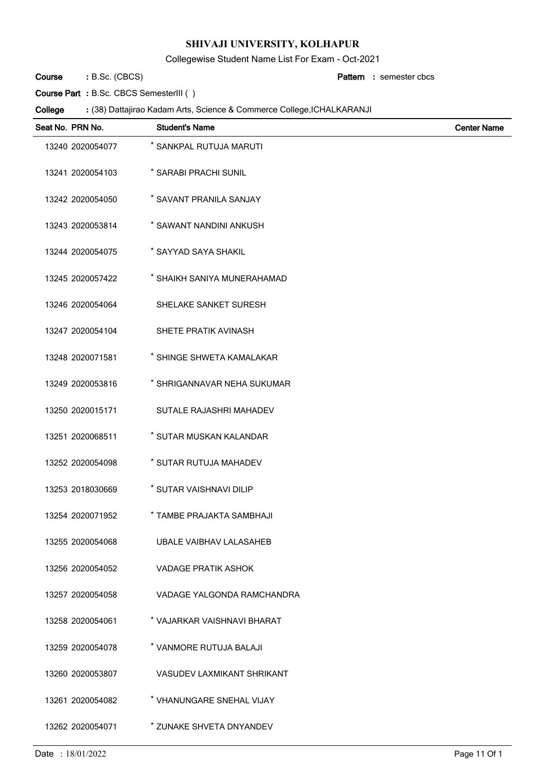Collegewise Student Name List For Exam - Oct-2021

B.Sc. (CBCS) **: Pattern Course**

semester cbcs **:**

**Course Part :** B.Sc. CBCS SemesterIII ( )

| Seat No. PRN No. | <b>Student's Name</b>             | <b>Center Name</b> |
|------------------|-----------------------------------|--------------------|
| 13240 2020054077 | * SANKPAL RUTUJA MARUTI           |                    |
| 13241 2020054103 | * SARABI PRACHI SUNIL             |                    |
| 13242 2020054050 | * SAVANT PRANILA SANJAY           |                    |
| 13243 2020053814 | * SAWANT NANDINI ANKUSH           |                    |
| 13244 2020054075 | * SAYYAD SAYA SHAKIL              |                    |
| 13245 2020057422 | * SHAIKH SANIYA MUNERAHAMAD       |                    |
| 13246 2020054064 | SHELAKE SANKET SURESH             |                    |
| 13247 2020054104 | SHETE PRATIK AVINASH              |                    |
| 13248 2020071581 | * SHINGE SHWETA KAMALAKAR         |                    |
| 13249 2020053816 | * SHRIGANNAVAR NEHA SUKUMAR       |                    |
| 13250 2020015171 | SUTALE RAJASHRI MAHADEV           |                    |
| 13251 2020068511 | * SUTAR MUSKAN KALANDAR           |                    |
| 13252 2020054098 | * SUTAR RUTUJA MAHADEV            |                    |
| 13253 2018030669 | * SUTAR VAISHNAVI DILIP           |                    |
| 13254 2020071952 | * TAMBE PRAJAKTA SAMBHAJI         |                    |
| 13255 2020054068 | UBALE VAIBHAV LALASAHEB           |                    |
| 13256 2020054052 | <b>VADAGE PRATIK ASHOK</b>        |                    |
| 13257 2020054058 | VADAGE YALGONDA RAMCHANDRA        |                    |
| 13258 2020054061 | * VAJARKAR VAISHNAVI BHARAT       |                    |
| 13259 2020054078 | * VANMORE RUTUJA BALAJI           |                    |
| 13260 2020053807 | <b>VASUDEV LAXMIKANT SHRIKANT</b> |                    |
| 13261 2020054082 | * VHANUNGARE SNEHAL VIJAY         |                    |
| 13262 2020054071 | * ZUNAKE SHVETA DNYANDEV          |                    |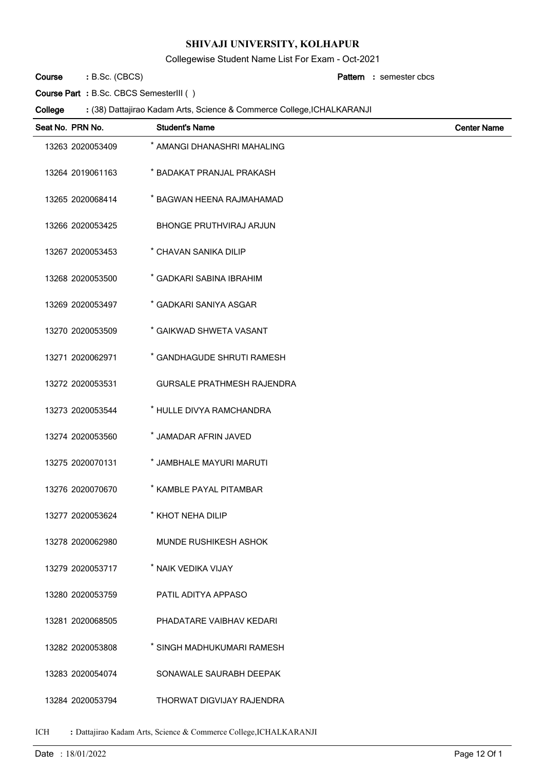Collegewise Student Name List For Exam - Oct-2021

B.Sc. (CBCS) **: Pattern Course**

semester cbcs **:**

**Course Part :** B.Sc. CBCS SemesterIII ( )

### (38) Dattajirao Kadam Arts, Science & Commerce College,ICHALKARANJI **: College**

| Seat No. PRN No. | <b>Student's Name</b>             | <b>Center Name</b> |
|------------------|-----------------------------------|--------------------|
| 13263 2020053409 | * AMANGI DHANASHRI MAHALING       |                    |
| 13264 2019061163 | * BADAKAT PRANJAL PRAKASH         |                    |
| 13265 2020068414 | * BAGWAN HEENA RAJMAHAMAD         |                    |
| 13266 2020053425 | <b>BHONGE PRUTHVIRAJ ARJUN</b>    |                    |
| 13267 2020053453 | * CHAVAN SANIKA DILIP             |                    |
| 13268 2020053500 | * GADKARI SABINA IBRAHIM          |                    |
| 13269 2020053497 | * GADKARI SANIYA ASGAR            |                    |
| 13270 2020053509 | * GAIKWAD SHWETA VASANT           |                    |
| 13271 2020062971 | * GANDHAGUDE SHRUTI RAMESH        |                    |
| 13272 2020053531 | <b>GURSALE PRATHMESH RAJENDRA</b> |                    |
| 13273 2020053544 | * HULLE DIVYA RAMCHANDRA          |                    |
| 13274 2020053560 | * JAMADAR AFRIN JAVED             |                    |
| 13275 2020070131 | * JAMBHALE MAYURI MARUTI          |                    |
| 13276 2020070670 | * KAMBLE PAYAL PITAMBAR           |                    |
| 13277 2020053624 | * KHOT NEHA DILIP                 |                    |
| 13278 2020062980 | <b>MUNDE RUSHIKESH ASHOK</b>      |                    |
| 13279 2020053717 | * NAIK VEDIKA VIJAY               |                    |
| 13280 2020053759 | PATIL ADITYA APPASO               |                    |
| 13281 2020068505 | PHADATARE VAIBHAV KEDARI          |                    |
| 13282 2020053808 | * SINGH MADHUKUMARI RAMESH        |                    |
| 13283 2020054074 | SONAWALE SAURABH DEEPAK           |                    |
| 13284 2020053794 | THORWAT DIGVIJAY RAJENDRA         |                    |

ICH **:** Dattajirao Kadam Arts, Science & Commerce College,ICHALKARANJI